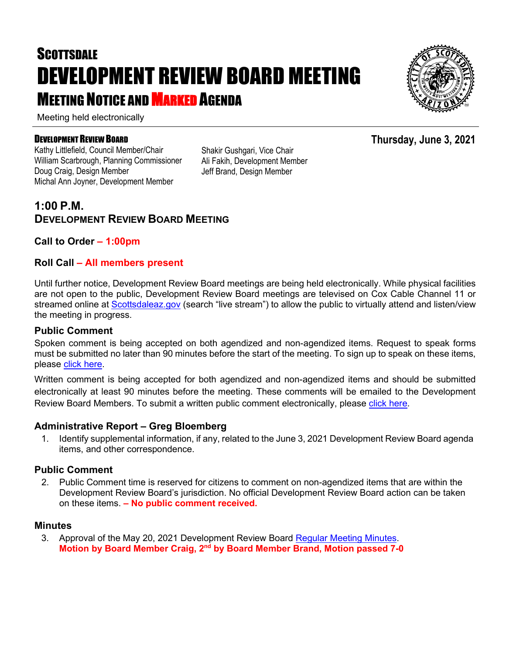# **SCOTTSDALE** DEVELOPMENT REVIEW BOARD MEETING **MEETING NOTICE AND MARKED AGENDA**

Meeting held electronically

#### DEVELOPMENT REVIEW BOARD

Kathy Littlefield, Council Member/Chair William Scarbrough, Planning Commissioner Doug Craig, Design Member Michal Ann Joyner, Development Member

Shakir Gushgari, Vice Chair Ali Fakih, Development Member Jeff Brand, Design Member

### **1:00 P.M. DEVELOPMENT REVIEW BOARD MEETING**

#### **Call to Order – 1:00pm**

#### **Roll Call – All members present**

Until further notice, Development Review Board meetings are being held electronically. While physical facilities are not open to the public, Development Review Board meetings are televised on Cox Cable Channel 11 or streamed online at [Scottsdaleaz.gov](https://www.scottsdaleaz.gov/) (search "live stream") to allow the public to virtually attend and listen/view the meeting in progress.

#### **Public Comment**

Spoken comment is being accepted on both agendized and non-agendized items. Request to speak forms must be submitted no later than 90 minutes before the start of the meeting. To sign up to speak on these items, please [click here.](https://www.scottsdaleaz.gov/boards/development-review-board/spoken-comment)

Written comment is being accepted for both agendized and non-agendized items and should be submitted electronically at least 90 minutes before the meeting. These comments will be emailed to the Development Review Board Members. To submit a written public comment electronically, please [click here.](https://www.scottsdaleaz.gov/boards/development-review-board/public-comment)

#### **Administrative Report – Greg Bloemberg**

1. Identify supplemental information, if any, related to the June 3, 2021 Development Review Board agenda items, and other correspondence.

#### **Public Comment**

2. Public Comment time is reserved for citizens to comment on non-agendized items that are within the Development Review Board's jurisdiction. No official Development Review Board action can be taken on these items. **– No public comment received.**

#### **Minutes**

3. Approval of the May 20, 2021 Development Review Board [Regular Meeting Minutes.](https://eservices.scottsdaleaz.gov/planning/projectsummary/unrelated_documents/DRB_MEETING_MINUTES_05202021.pdf) **Motion by Board Member Craig, 2nd by Board Member Brand, Motion passed 7-0**



**Thursday, June 3, 2021**